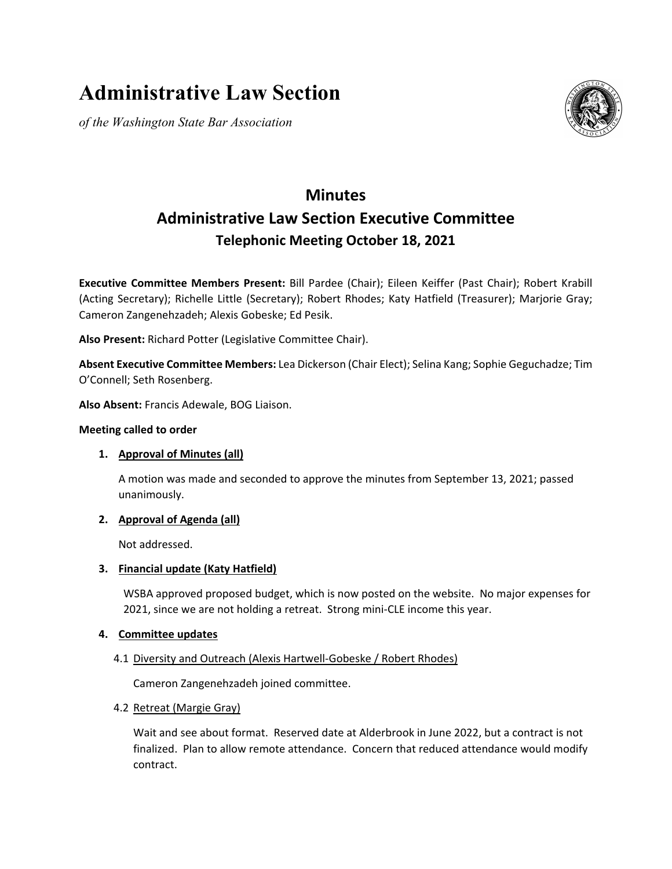# **Administrative Law Section**

*of the Washington State Bar Association*



# **Minutes Administrative Law Section Executive Committee Telephonic Meeting October 18, 2021**

**Executive Committee Members Present:** Bill Pardee (Chair); Eileen Keiffer (Past Chair); Robert Krabill (Acting Secretary); Richelle Little (Secretary); Robert Rhodes; Katy Hatfield (Treasurer); Marjorie Gray; Cameron Zangenehzadeh; Alexis Gobeske; Ed Pesik.

**Also Present:** Richard Potter (Legislative Committee Chair).

**Absent Executive Committee Members:** Lea Dickerson (Chair Elect); Selina Kang; Sophie Geguchadze; Tim O'Connell; Seth Rosenberg.

**Also Absent:** Francis Adewale, BOG Liaison.

### **Meeting called to order**

# **1. Approval of Minutes (all)**

A motion was made and seconded to approve the minutes from September 13, 2021; passed unanimously.

# **2. Approval of Agenda (all)**

Not addressed.

#### **3. Financial update (Katy Hatfield)**

WSBA approved proposed budget, which is now posted on the website. No major expenses for 2021, since we are not holding a retreat. Strong mini-CLE income this year.

#### **4. Committee updates**

# 4.1 Diversity and Outreach (Alexis Hartwell-Gobeske / Robert Rhodes)

Cameron Zangenehzadeh joined committee.

#### 4.2 Retreat (Margie Gray)

Wait and see about format. Reserved date at Alderbrook in June 2022, but a contract is not finalized. Plan to allow remote attendance. Concern that reduced attendance would modify contract.